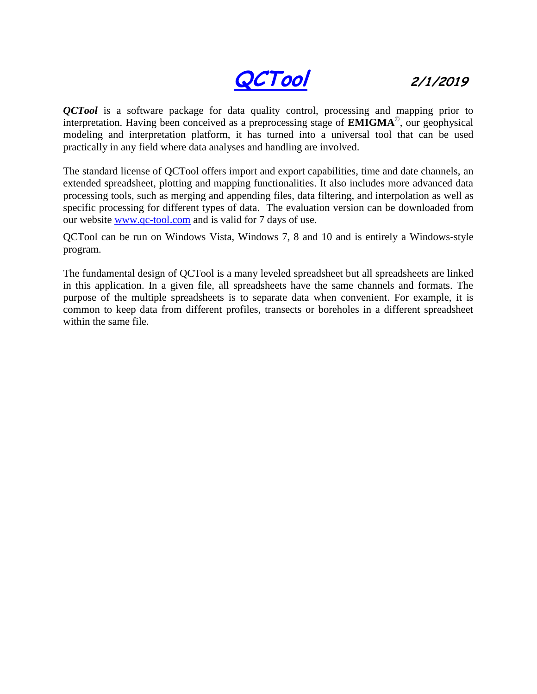**QCTool 2/1/2019**

*QCTool* is a software package for data quality control, processing and mapping prior to interpretation. Having been conceived as a preprocessing stage of **EMIGMA**© , our geophysical modeling and interpretation platform, it has turned into a universal tool that can be used practically in any field where data analyses and handling are involved.

The standard license of QCTool offers import and export capabilities, time and date channels, an extended spreadsheet, plotting and mapping functionalities. It also includes more advanced data processing tools, such as merging and appending files, data filtering, and interpolation as well as specific processing for different types of data. The evaluation version can be downloaded from our website [www.qc-tool.com](http://www.qc-tool.com/) and is valid for 7 days of use.

QCTool can be run on Windows Vista, Windows 7, 8 and 10 and is entirely a Windows-style program.

The fundamental design of QCTool is a many leveled spreadsheet but all spreadsheets are linked in this application. In a given file, all spreadsheets have the same channels and formats. The purpose of the multiple spreadsheets is to separate data when convenient. For example, it is common to keep data from different profiles, transects or boreholes in a different spreadsheet within the same file.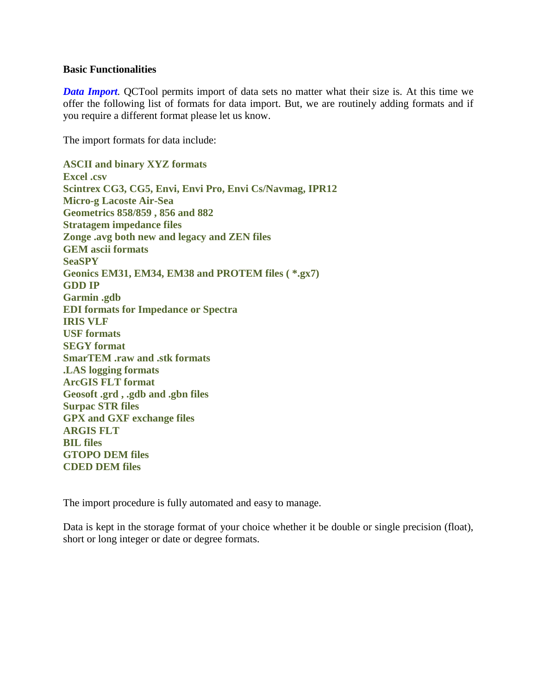## **Basic Functionalities**

*Data Import.* QCTool permits import of data sets no matter what their size is. At this time we offer the following list of formats for data import. But, we are routinely adding formats and if you require a different format please let us know.

The import formats for data include:

**ASCII and binary XYZ formats Excel .csv Scintrex CG3, CG5, Envi, Envi Pro, Envi Cs/Navmag, IPR12 Micro-g Lacoste Air-Sea Geometrics 858/859 , 856 and 882 Stratagem impedance files Zonge .avg both new and legacy and ZEN files GEM ascii formats SeaSPY Geonics EM31, EM34, EM38 and PROTEM files ( \*.gx7) GDD IP Garmin .gdb EDI formats for Impedance or Spectra IRIS VLF USF formats SEGY format SmarTEM .raw and .stk formats .LAS logging formats ArcGIS FLT format Geosoft .grd , .gdb and .gbn files Surpac STR files GPX and GXF exchange files ARGIS FLT BIL files GTOPO DEM files CDED DEM files**

The import procedure is fully automated and easy to manage.

Data is kept in the storage format of your choice whether it be double or single precision (float), short or long integer or date or degree formats.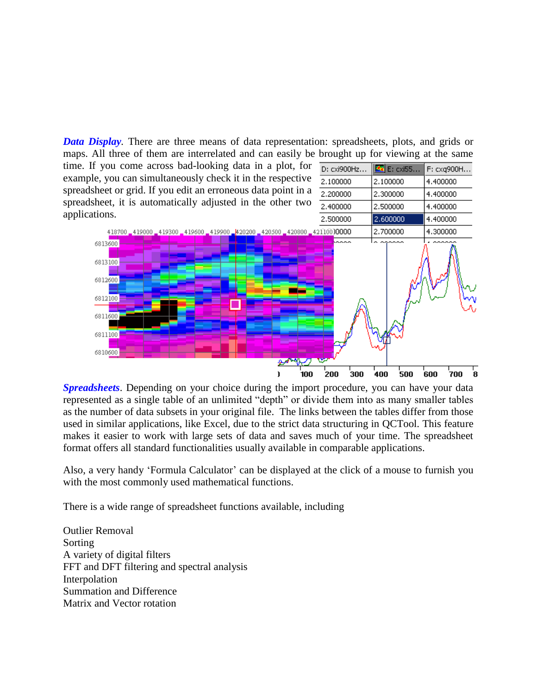*Data Display.* There are three means of data representation: spreadsheets, plots, and grids or maps. All three of them are interrelated and can easily be brought up for viewing at the same

F: cxq900H...

4.400000

4.400000

4.400000

time. If you come across bad-looking data in a plot, for D: cxi900Hz...  $24$  E:  $cx$  i55... example, you can simultaneously check it in the respective 2.100000 2.100000 spreadsheet or grid. If you edit an erroneous data point in a 2.200000 2.300000 spreadsheet, it is automatically adjusted in the other two 2.400000 2.500000 applications. 2.500000



*Spreadsheets*. Depending on your choice during the import procedure, you can have your data represented as a single table of an unlimited "depth" or divide them into as many smaller tables as the number of data subsets in your original file. The links between the tables differ from those used in similar applications, like Excel, due to the strict data structuring in QCTool. This feature makes it easier to work with large sets of data and saves much of your time. The spreadsheet format offers all standard functionalities usually available in comparable applications.

Also, a very handy 'Formula Calculator' can be displayed at the click of a mouse to furnish you with the most commonly used mathematical functions.

There is a wide range of spreadsheet functions available, including

Outlier Removal Sorting A variety of digital filters FFT and DFT filtering and spectral analysis Interpolation Summation and Difference Matrix and Vector rotation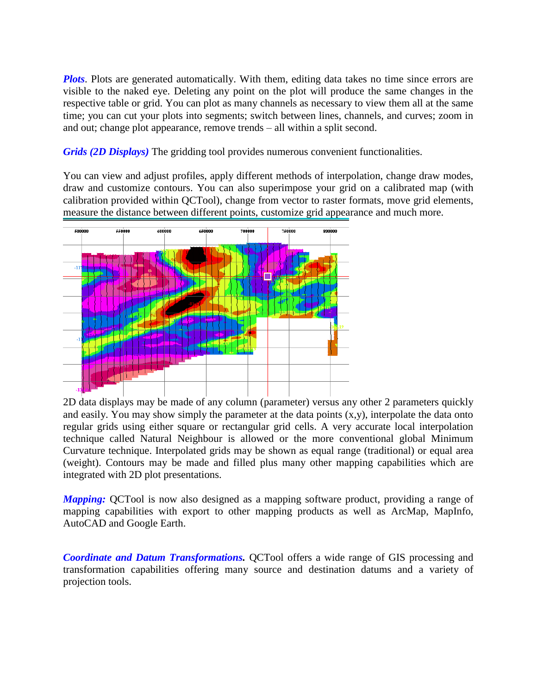*Plots*. Plots are generated automatically. With them, editing data takes no time since errors are visible to the naked eye. Deleting any point on the plot will produce the same changes in the respective table or grid. You can plot as many channels as necessary to view them all at the same time; you can cut your plots into segments; switch between lines, channels, and curves; zoom in and out; change plot appearance, remove trends – all within a split second.

*Grids (2D Displays)* The gridding tool provides numerous convenient functionalities.

You can view and adjust profiles, apply different methods of interpolation, change draw modes, draw and customize contours. You can also superimpose your grid on a calibrated map (with calibration provided within QCTool), change from vector to raster formats, move grid elements, measure the distance between different points, customize grid appearance and much more.



2D data displays may be made of any column (parameter) versus any other 2 parameters quickly and easily. You may show simply the parameter at the data points  $(x, y)$ , interpolate the data onto regular grids using either square or rectangular grid cells. A very accurate local interpolation technique called Natural Neighbour is allowed or the more conventional global Minimum Curvature technique. Interpolated grids may be shown as equal range (traditional) or equal area (weight). Contours may be made and filled plus many other mapping capabilities which are integrated with 2D plot presentations.

*Mapping:* QCTool is now also designed as a mapping software product, providing a range of mapping capabilities with export to other mapping products as well as ArcMap, MapInfo, AutoCAD and Google Earth.

*Coordinate and Datum Transformations.* QCTool offers a wide range of GIS processing and transformation capabilities offering many source and destination datums and a variety of projection tools.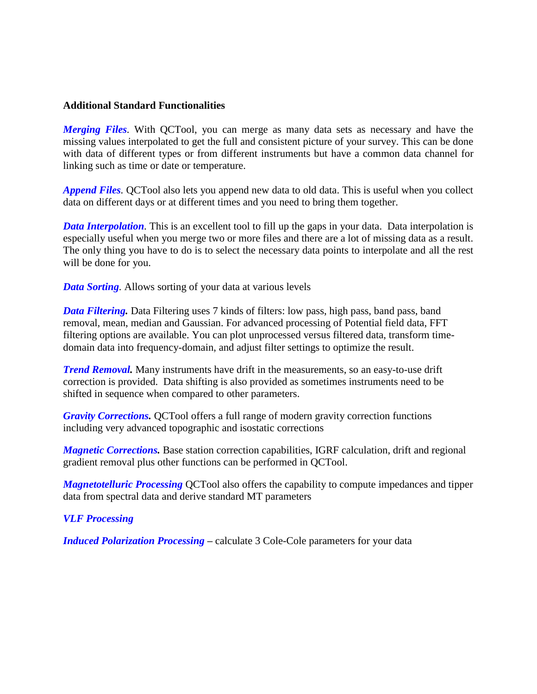## **Additional Standard Functionalities**

*Merging Files.* With QCTool, you can merge as many data sets as necessary and have the missing values interpolated to get the full and consistent picture of your survey. This can be done with data of different types or from different instruments but have a common data channel for linking such as time or date or temperature.

*Append Files.* QCTool also lets you append new data to old data. This is useful when you collect data on different days or at different times and you need to bring them together.

*Data Interpolation*. This is an excellent tool to fill up the gaps in your data. Data interpolation is especially useful when you merge two or more files and there are a lot of missing data as a result. The only thing you have to do is to select the necessary data points to interpolate and all the rest will be done for you.

*Data Sorting.* Allows sorting of your data at various levels

*Data Filtering.* Data Filtering uses 7 kinds of filters: low pass, high pass, band pass, band removal, mean, median and Gaussian. For advanced processing of Potential field data, FFT filtering options are available. You can plot unprocessed versus filtered data, transform timedomain data into frequency-domain, and adjust filter settings to optimize the result.

*Trend Removal.* Many instruments have drift in the measurements, so an easy-to-use drift correction is provided. Data shifting is also provided as sometimes instruments need to be shifted in sequence when compared to other parameters.

*Gravity Corrections.* QCTool offers a full range of modern gravity correction functions including very advanced topographic and isostatic corrections

*Magnetic Corrections.* Base station correction capabilities, IGRF calculation, drift and regional gradient removal plus other functions can be performed in QCTool.

*Magnetotelluric Processing* QCTool also offers the capability to compute impedances and tipper data from spectral data and derive standard MT parameters

## *VLF Processing*

*Induced Polarization Processing –* calculate 3 Cole-Cole parameters for your data